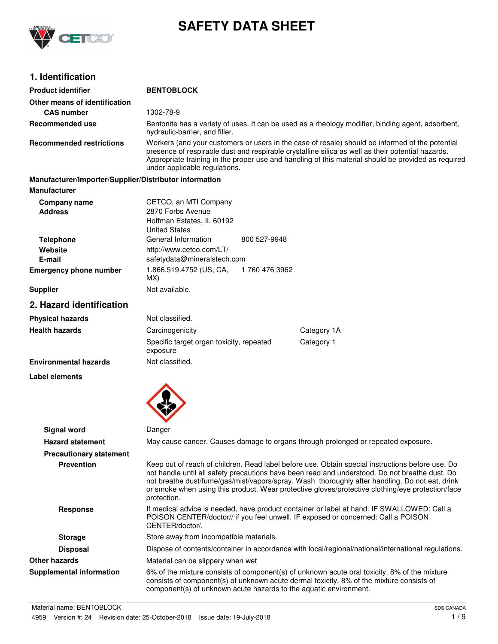

# **SAFETY DATA SHEET**

# **1. Identification**

| <b>Product identifier</b>                                                     | <b>BENTOBLOCK</b>                                                                                                                                                                                                                                                                                                                                                                                                       |  |  |
|-------------------------------------------------------------------------------|-------------------------------------------------------------------------------------------------------------------------------------------------------------------------------------------------------------------------------------------------------------------------------------------------------------------------------------------------------------------------------------------------------------------------|--|--|
| Other means of identification                                                 |                                                                                                                                                                                                                                                                                                                                                                                                                         |  |  |
| <b>CAS number</b>                                                             | 1302-78-9                                                                                                                                                                                                                                                                                                                                                                                                               |  |  |
| Recommended use                                                               | Bentonite has a variety of uses. It can be used as a rheology modifier, binding agent, adsorbent,<br>hydraulic-barrier, and filler.                                                                                                                                                                                                                                                                                     |  |  |
| <b>Recommended restrictions</b>                                               | Workers (and your customers or users in the case of resale) should be informed of the potential<br>presence of respirable dust and respirable crystalline silica as well as their potential hazards.<br>Appropriate training in the proper use and handling of this material should be provided as required<br>under applicable regulations.                                                                            |  |  |
| Manufacturer/Importer/Supplier/Distributor information<br><b>Manufacturer</b> |                                                                                                                                                                                                                                                                                                                                                                                                                         |  |  |
| <b>Company name</b><br><b>Address</b>                                         | CETCO, an MTI Company<br>2870 Forbs Avenue<br>Hoffman Estates, IL 60192<br><b>United States</b>                                                                                                                                                                                                                                                                                                                         |  |  |
| <b>Telephone</b><br>Website<br>E-mail                                         | General Information<br>800 527-9948<br>http://www.cetco.com/LT/<br>safetydata@mineralstech.com                                                                                                                                                                                                                                                                                                                          |  |  |
| <b>Emergency phone number</b>                                                 | 1.866.519.4752 (US, CA,<br>1760 476 3962<br>MX)                                                                                                                                                                                                                                                                                                                                                                         |  |  |
| <b>Supplier</b>                                                               | Not available.                                                                                                                                                                                                                                                                                                                                                                                                          |  |  |
| 2. Hazard identification                                                      |                                                                                                                                                                                                                                                                                                                                                                                                                         |  |  |
| <b>Physical hazards</b>                                                       | Not classified.                                                                                                                                                                                                                                                                                                                                                                                                         |  |  |
| <b>Health hazards</b>                                                         | Category 1A<br>Carcinogenicity                                                                                                                                                                                                                                                                                                                                                                                          |  |  |
|                                                                               | Specific target organ toxicity, repeated<br>Category 1<br>exposure                                                                                                                                                                                                                                                                                                                                                      |  |  |
| <b>Environmental hazards</b>                                                  | Not classified.                                                                                                                                                                                                                                                                                                                                                                                                         |  |  |
| <b>Label elements</b>                                                         |                                                                                                                                                                                                                                                                                                                                                                                                                         |  |  |
| Signal word                                                                   | Danger                                                                                                                                                                                                                                                                                                                                                                                                                  |  |  |
| <b>Hazard statement</b>                                                       | May cause cancer. Causes damage to organs through prolonged or repeated exposure.                                                                                                                                                                                                                                                                                                                                       |  |  |
| <b>Precautionary statement</b>                                                |                                                                                                                                                                                                                                                                                                                                                                                                                         |  |  |
| <b>Prevention</b>                                                             | Keep out of reach of children. Read label before use. Obtain special instructions before use. Do<br>not handle until all safety precautions have been read and understood. Do not breathe dust. Do<br>not breathe dust/fume/gas/mist/vapors/spray. Wash thoroughly after handling. Do not eat, drink<br>or smoke when using this product. Wear protective gloves/protective clothing/eye protection/face<br>protection. |  |  |
| Response                                                                      | If medical advice is needed, have product container or label at hand. IF SWALLOWED: Call a<br>POISON CENTER/doctor// if you feel unwell. IF exposed or concerned: Call a POISON<br>CENTER/doctor/.                                                                                                                                                                                                                      |  |  |
| <b>Storage</b>                                                                | Store away from incompatible materials.                                                                                                                                                                                                                                                                                                                                                                                 |  |  |
| <b>Disposal</b>                                                               | Dispose of contents/container in accordance with local/regional/national/international regulations.                                                                                                                                                                                                                                                                                                                     |  |  |
| <b>Other hazards</b>                                                          | Material can be slippery when wet                                                                                                                                                                                                                                                                                                                                                                                       |  |  |
| <b>Supplemental information</b>                                               | 6% of the mixture consists of component(s) of unknown acute oral toxicity. 8% of the mixture<br>consists of component(s) of unknown acute dermal toxicity. 8% of the mixture consists of<br>component(s) of unknown acute hazards to the aquatic environment.                                                                                                                                                           |  |  |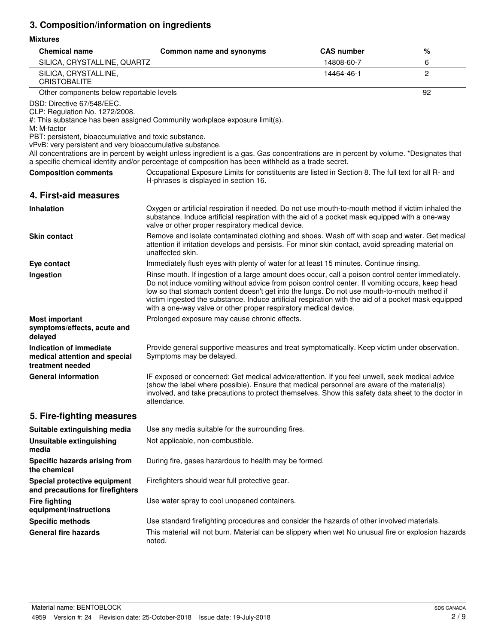# **3. Composition/information on ingredients**

# **Mixtures**

| <b>Chemical name</b>                                                                                                                                                                              | Common name and synonyms                                                                                                                                                                                                                                                                                                                                                                                                                                                       | <b>CAS number</b> | %  |
|---------------------------------------------------------------------------------------------------------------------------------------------------------------------------------------------------|--------------------------------------------------------------------------------------------------------------------------------------------------------------------------------------------------------------------------------------------------------------------------------------------------------------------------------------------------------------------------------------------------------------------------------------------------------------------------------|-------------------|----|
| SILICA, CRYSTALLINE, QUARTZ                                                                                                                                                                       |                                                                                                                                                                                                                                                                                                                                                                                                                                                                                | 14808-60-7        | 6  |
| SILICA, CRYSTALLINE,<br><b>CRISTOBALITE</b>                                                                                                                                                       |                                                                                                                                                                                                                                                                                                                                                                                                                                                                                | 14464-46-1        | 2  |
| Other components below reportable levels                                                                                                                                                          |                                                                                                                                                                                                                                                                                                                                                                                                                                                                                |                   | 92 |
| DSD: Directive 67/548/EEC.<br>CLP: Regulation No. 1272/2008.<br>M: M-factor<br>PBT: persistent, bioaccumulative and toxic substance.<br>vPvB: very persistent and very bioaccumulative substance. | #: This substance has been assigned Community workplace exposure limit(s).<br>All concentrations are in percent by weight unless ingredient is a gas. Gas concentrations are in percent by volume. *Designates that<br>a specific chemical identity and/or percentage of composition has been withheld as a trade secret.                                                                                                                                                      |                   |    |
| <b>Composition comments</b>                                                                                                                                                                       | Occupational Exposure Limits for constituents are listed in Section 8. The full text for all R- and<br>H-phrases is displayed in section 16.                                                                                                                                                                                                                                                                                                                                   |                   |    |
| 4. First-aid measures                                                                                                                                                                             |                                                                                                                                                                                                                                                                                                                                                                                                                                                                                |                   |    |
| <b>Inhalation</b>                                                                                                                                                                                 | Oxygen or artificial respiration if needed. Do not use mouth-to-mouth method if victim inhaled the<br>substance. Induce artificial respiration with the aid of a pocket mask equipped with a one-way<br>valve or other proper respiratory medical device.                                                                                                                                                                                                                      |                   |    |
| <b>Skin contact</b>                                                                                                                                                                               | Remove and isolate contaminated clothing and shoes. Wash off with soap and water. Get medical<br>attention if irritation develops and persists. For minor skin contact, avoid spreading material on<br>unaffected skin.                                                                                                                                                                                                                                                        |                   |    |
| Eye contact                                                                                                                                                                                       | Immediately flush eyes with plenty of water for at least 15 minutes. Continue rinsing.                                                                                                                                                                                                                                                                                                                                                                                         |                   |    |
| Ingestion                                                                                                                                                                                         | Rinse mouth. If ingestion of a large amount does occur, call a poison control center immediately.<br>Do not induce vomiting without advice from poison control center. If vomiting occurs, keep head<br>low so that stomach content doesn't get into the lungs. Do not use mouth-to-mouth method if<br>victim ingested the substance. Induce artificial respiration with the aid of a pocket mask equipped<br>with a one-way valve or other proper respiratory medical device. |                   |    |
| <b>Most important</b><br>symptoms/effects, acute and                                                                                                                                              | Prolonged exposure may cause chronic effects.                                                                                                                                                                                                                                                                                                                                                                                                                                  |                   |    |
| delayed                                                                                                                                                                                           |                                                                                                                                                                                                                                                                                                                                                                                                                                                                                |                   |    |
| <b>Indication of immediate</b><br>medical attention and special<br>treatment needed                                                                                                               | Provide general supportive measures and treat symptomatically. Keep victim under observation.<br>Symptoms may be delayed.                                                                                                                                                                                                                                                                                                                                                      |                   |    |
| <b>General information</b>                                                                                                                                                                        | IF exposed or concerned: Get medical advice/attention. If you feel unwell, seek medical advice<br>(show the label where possible). Ensure that medical personnel are aware of the material(s)<br>involved, and take precautions to protect themselves. Show this safety data sheet to the doctor in<br>attendance.                                                                                                                                                             |                   |    |
| 5. Fire-fighting measures                                                                                                                                                                         |                                                                                                                                                                                                                                                                                                                                                                                                                                                                                |                   |    |
| Suitable extinguishing media                                                                                                                                                                      | Use any media suitable for the surrounding fires.                                                                                                                                                                                                                                                                                                                                                                                                                              |                   |    |
| <b>Unsuitable extinguishing</b><br>media                                                                                                                                                          | Not applicable, non-combustible.                                                                                                                                                                                                                                                                                                                                                                                                                                               |                   |    |
| Specific hazards arising from<br>the chemical                                                                                                                                                     | During fire, gases hazardous to health may be formed.                                                                                                                                                                                                                                                                                                                                                                                                                          |                   |    |
| Special protective equipment<br>and precautions for firefighters                                                                                                                                  | Firefighters should wear full protective gear.                                                                                                                                                                                                                                                                                                                                                                                                                                 |                   |    |
| <b>Fire fighting</b><br>equipment/instructions                                                                                                                                                    | Use water spray to cool unopened containers.                                                                                                                                                                                                                                                                                                                                                                                                                                   |                   |    |
| <b>Specific methods</b>                                                                                                                                                                           | Use standard firefighting procedures and consider the hazards of other involved materials.                                                                                                                                                                                                                                                                                                                                                                                     |                   |    |
| <b>General fire hazards</b>                                                                                                                                                                       | This material will not burn. Material can be slippery when wet No unusual fire or explosion hazards<br>noted.                                                                                                                                                                                                                                                                                                                                                                  |                   |    |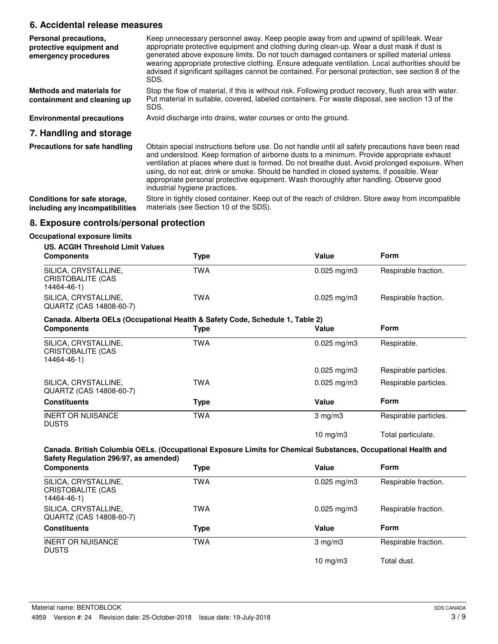# **6. Accidental release measures**

| Personal precautions,<br>protective equipment and<br>emergency procedures | Keep unnecessary personnel away. Keep people away from and upwind of spill/leak. Wear<br>appropriate protective equipment and clothing during clean-up. Wear a dust mask if dust is<br>generated above exposure limits. Do not touch damaged containers or spilled material unless<br>wearing appropriate protective clothing. Ensure adequate ventilation. Local authorities should be<br>advised if significant spillages cannot be contained. For personal protection, see section 8 of the<br>SDS.                      |
|---------------------------------------------------------------------------|-----------------------------------------------------------------------------------------------------------------------------------------------------------------------------------------------------------------------------------------------------------------------------------------------------------------------------------------------------------------------------------------------------------------------------------------------------------------------------------------------------------------------------|
| <b>Methods and materials for</b><br>containment and cleaning up           | Stop the flow of material, if this is without risk. Following product recovery, flush area with water.<br>Put material in suitable, covered, labeled containers. For waste disposal, see section 13 of the<br>SDS.                                                                                                                                                                                                                                                                                                          |
| <b>Environmental precautions</b>                                          | Avoid discharge into drains, water courses or onto the ground.                                                                                                                                                                                                                                                                                                                                                                                                                                                              |
| 7. Handling and storage                                                   |                                                                                                                                                                                                                                                                                                                                                                                                                                                                                                                             |
| Precautions for safe handling                                             | Obtain special instructions before use. Do not handle until all safety precautions have been read<br>and understood. Keep formation of airborne dusts to a minimum. Provide appropriate exhaust<br>ventilation at places where dust is formed. Do not breathe dust. Avoid prolonged exposure. When<br>using, do not eat, drink or smoke. Should be handled in closed systems, if possible. Wear<br>appropriate personal protective equipment. Wash thoroughly after handling. Observe good<br>industrial hygiene practices. |
| Conditions for safe storage,<br>including any incompatibilities           | Store in tightly closed container. Keep out of the reach of children. Store away from incompatible<br>materials (see Section 10 of the SDS).                                                                                                                                                                                                                                                                                                                                                                                |

# **8. Exposure controls/personal protection**

## **Occupational exposure limits**

#### **US. ACGIH Threshold Limit Values**

| <b>Components</b>                                        | Type | Value                    | Form                 |
|----------------------------------------------------------|------|--------------------------|----------------------|
| SILICA, CRYSTALLINE,<br>CRISTOBALITE (CAS<br>14464-46-1) | TWA  | $0.025 \,\mathrm{mq/m3}$ | Respirable fraction. |
| SILICA, CRYSTALLINE,<br>QUARTZ (CAS 14808-60-7)          | TWA  | $0.025 \,\mathrm{mq/m3}$ | Respirable fraction. |

#### **Canada. Alberta OELs (Occupational Health & Safety Code, Schedule 1, Table 2)**

| <b>Components</b>                                        | Type       | Value                  | <b>Form</b>           |
|----------------------------------------------------------|------------|------------------------|-----------------------|
| SILICA, CRYSTALLINE,<br>CRISTOBALITE (CAS<br>14464-46-1) | TWA        | $0.025$ mg/m3          | Respirable.           |
|                                                          |            | $0.025$ mg/m3          | Respirable particles. |
| SILICA, CRYSTALLINE,<br>QUARTZ (CAS 14808-60-7)          | <b>TWA</b> | $0.025 \text{ mg/m}$ 3 | Respirable particles. |
| <b>Constituents</b>                                      | Type       | Value                  | <b>Form</b>           |
| <b>INERT OR NUISANCE</b><br><b>DUSTS</b>                 | <b>TWA</b> | $3 \text{ mg/m}$       | Respirable particles. |
|                                                          |            | $10 \text{ mg/m}$      | Total particulate.    |

## **Canada. British Columbia OELs. (Occupational Exposure Limits for Chemical Substances, Occupational Health and Safety Regulation 296/97, as amended)**

| <b>Components</b>                                        | Type | Value                    | <b>Form</b>          |
|----------------------------------------------------------|------|--------------------------|----------------------|
| SILICA, CRYSTALLINE,<br>CRISTOBALITE (CAS<br>14464-46-1) | TWA  | $0.025 \,\mathrm{mg/m}$  | Respirable fraction. |
| SILICA, CRYSTALLINE,<br>QUARTZ (CAS 14808-60-7)          | TWA  | $0.025 \,\mathrm{mg/m}$  | Respirable fraction. |
| <b>Constituents</b>                                      | Type | Value                    | <b>Form</b>          |
| <b>INERT OR NUISANCE</b><br><b>DUSTS</b>                 | TWA  | $3 \text{ mg/m}$         | Respirable fraction. |
|                                                          |      | $10 \text{ mg}/\text{m}$ | Total dust.          |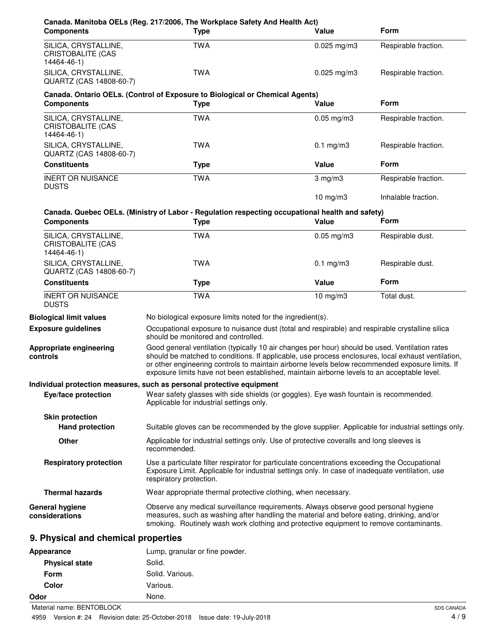| Canada. Manitoba OELs (Reg. 217/2006, The Workplace Safety And Health Act)<br><b>Components</b>                      |                         | <b>Type</b>                                                                                                                                                                                                                                                                | Value                                                                                                                                                                                            | <b>Form</b>                                                                                                                                                                                           |
|----------------------------------------------------------------------------------------------------------------------|-------------------------|----------------------------------------------------------------------------------------------------------------------------------------------------------------------------------------------------------------------------------------------------------------------------|--------------------------------------------------------------------------------------------------------------------------------------------------------------------------------------------------|-------------------------------------------------------------------------------------------------------------------------------------------------------------------------------------------------------|
| SILICA, CRYSTALLINE,<br><b>CRISTOBALITE (CAS</b><br>14464-46-1)                                                      |                         | <b>TWA</b>                                                                                                                                                                                                                                                                 | $0.025$ mg/m3                                                                                                                                                                                    | Respirable fraction.                                                                                                                                                                                  |
| SILICA, CRYSTALLINE,<br>QUARTZ (CAS 14808-60-7)                                                                      |                         | <b>TWA</b>                                                                                                                                                                                                                                                                 | $0.025$ mg/m3                                                                                                                                                                                    | Respirable fraction.                                                                                                                                                                                  |
| Canada. Ontario OELs. (Control of Exposure to Biological or Chemical Agents)                                         |                         |                                                                                                                                                                                                                                                                            |                                                                                                                                                                                                  |                                                                                                                                                                                                       |
| <b>Components</b>                                                                                                    |                         | <b>Type</b>                                                                                                                                                                                                                                                                | Value                                                                                                                                                                                            | <b>Form</b>                                                                                                                                                                                           |
| SILICA, CRYSTALLINE,<br><b>CRISTOBALITE (CAS</b><br>14464-46-1)                                                      |                         | <b>TWA</b>                                                                                                                                                                                                                                                                 | $0.05$ mg/m3                                                                                                                                                                                     | Respirable fraction.                                                                                                                                                                                  |
| SILICA, CRYSTALLINE,<br>QUARTZ (CAS 14808-60-7)                                                                      |                         | <b>TWA</b>                                                                                                                                                                                                                                                                 | $0.1$ mg/m $3$                                                                                                                                                                                   | Respirable fraction.                                                                                                                                                                                  |
| <b>Constituents</b>                                                                                                  |                         | <b>Type</b>                                                                                                                                                                                                                                                                | Value                                                                                                                                                                                            | Form                                                                                                                                                                                                  |
| <b>INERT OR NUISANCE</b><br><b>DUSTS</b>                                                                             |                         | <b>TWA</b>                                                                                                                                                                                                                                                                 | $3$ mg/m $3$                                                                                                                                                                                     | Respirable fraction.                                                                                                                                                                                  |
|                                                                                                                      |                         |                                                                                                                                                                                                                                                                            | 10 mg/m $3$                                                                                                                                                                                      | Inhalable fraction.                                                                                                                                                                                   |
| Canada. Quebec OELs. (Ministry of Labor - Regulation respecting occupational health and safety)<br><b>Components</b> |                         | <b>Type</b>                                                                                                                                                                                                                                                                | Value                                                                                                                                                                                            | Form                                                                                                                                                                                                  |
| SILICA, CRYSTALLINE,<br><b>CRISTOBALITE (CAS</b><br>14464-46-1)                                                      |                         | <b>TWA</b>                                                                                                                                                                                                                                                                 | $0.05$ mg/m $3$                                                                                                                                                                                  | Respirable dust.                                                                                                                                                                                      |
| SILICA, CRYSTALLINE,<br>QUARTZ (CAS 14808-60-7)                                                                      |                         | <b>TWA</b>                                                                                                                                                                                                                                                                 | $0.1$ mg/m $3$                                                                                                                                                                                   | Respirable dust.                                                                                                                                                                                      |
| <b>Constituents</b>                                                                                                  |                         | <b>Type</b>                                                                                                                                                                                                                                                                | Value                                                                                                                                                                                            | Form                                                                                                                                                                                                  |
| <b>INERT OR NUISANCE</b><br><b>DUSTS</b>                                                                             |                         | <b>TWA</b>                                                                                                                                                                                                                                                                 | $10$ mg/m $3$                                                                                                                                                                                    | Total dust.                                                                                                                                                                                           |
| <b>Biological limit values</b>                                                                                       |                         | No biological exposure limits noted for the ingredient(s).                                                                                                                                                                                                                 |                                                                                                                                                                                                  |                                                                                                                                                                                                       |
| <b>Exposure guidelines</b>                                                                                           |                         | should be monitored and controlled.                                                                                                                                                                                                                                        | Occupational exposure to nuisance dust (total and respirable) and respirable crystalline silica                                                                                                  |                                                                                                                                                                                                       |
| Appropriate engineering<br>controls                                                                                  |                         |                                                                                                                                                                                                                                                                            | Good general ventilation (typically 10 air changes per hour) should be used. Ventilation rates<br>exposure limits have not been established, maintain airborne levels to an acceptable level.    | should be matched to conditions. If applicable, use process enclosures, local exhaust ventilation,<br>or other engineering controls to maintain airborne levels below recommended exposure limits. If |
| Individual protection measures, such as personal protective equipment                                                |                         |                                                                                                                                                                                                                                                                            |                                                                                                                                                                                                  |                                                                                                                                                                                                       |
| Eye/face protection                                                                                                  |                         | Applicable for industrial settings only.                                                                                                                                                                                                                                   | Wear safety glasses with side shields (or goggles). Eye wash fountain is recommended.                                                                                                            |                                                                                                                                                                                                       |
| <b>Skin protection</b>                                                                                               |                         |                                                                                                                                                                                                                                                                            |                                                                                                                                                                                                  |                                                                                                                                                                                                       |
| <b>Hand protection</b>                                                                                               |                         |                                                                                                                                                                                                                                                                            |                                                                                                                                                                                                  | Suitable gloves can be recommended by the glove supplier. Applicable for industrial settings only.                                                                                                    |
| Other                                                                                                                | recommended.            |                                                                                                                                                                                                                                                                            | Applicable for industrial settings only. Use of protective coveralls and long sleeves is                                                                                                         |                                                                                                                                                                                                       |
| <b>Respiratory protection</b>                                                                                        | respiratory protection. |                                                                                                                                                                                                                                                                            | Use a particulate filter respirator for particulate concentrations exceeding the Occupational<br>Exposure Limit. Applicable for industrial settings only. In case of inadequate ventilation, use |                                                                                                                                                                                                       |
| <b>Thermal hazards</b>                                                                                               |                         |                                                                                                                                                                                                                                                                            | Wear appropriate thermal protective clothing, when necessary.                                                                                                                                    |                                                                                                                                                                                                       |
| <b>General hygiene</b><br>considerations                                                                             |                         | Observe any medical surveillance requirements. Always observe good personal hygiene<br>measures, such as washing after handling the material and before eating, drinking, and/or<br>smoking. Routinely wash work clothing and protective equipment to remove contaminants. |                                                                                                                                                                                                  |                                                                                                                                                                                                       |
| 9. Physical and chemical properties                                                                                  |                         |                                                                                                                                                                                                                                                                            |                                                                                                                                                                                                  |                                                                                                                                                                                                       |
| Appearance                                                                                                           |                         | Lump, granular or fine powder.                                                                                                                                                                                                                                             |                                                                                                                                                                                                  |                                                                                                                                                                                                       |
| <b>Physical state</b>                                                                                                | Solid.                  |                                                                                                                                                                                                                                                                            |                                                                                                                                                                                                  |                                                                                                                                                                                                       |

| <b>PRYSICAL STATE</b>     | SOIIO.          |  |
|---------------------------|-----------------|--|
| Form                      | Solid. Various. |  |
| Color                     | Various.        |  |
| Odor                      | None.           |  |
| Material name: BENTOBLOCK |                 |  |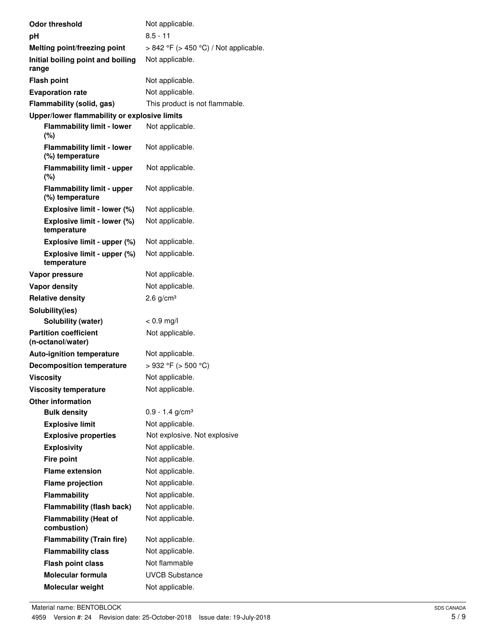| <b>Odor threshold</b>                                | Not applicable.                            |
|------------------------------------------------------|--------------------------------------------|
| рH                                                   | $8.5 - 11$                                 |
| Melting point/freezing point                         | $> 842$ °F ( $> 450$ °C) / Not applicable. |
| Initial boiling point and boiling<br>range           | Not applicable.                            |
| <b>Flash point</b>                                   | Not applicable.                            |
| <b>Evaporation rate</b>                              | Not applicable.                            |
| Flammability (solid, gas)                            | This product is not flammable.             |
| Upper/lower flammability or explosive limits         |                                            |
| <b>Flammability limit - lower</b><br>(%)             | Not applicable.                            |
| <b>Flammability limit - lower</b><br>(%) temperature | Not applicable.                            |
| <b>Flammability limit - upper</b><br>(%)             | Not applicable.                            |
| <b>Flammability limit - upper</b><br>(%) temperature | Not applicable.                            |
| Explosive limit - lower (%)                          | Not applicable.                            |
| Explosive limit - lower (%)<br>temperature           | Not applicable.                            |
| Explosive limit - upper (%)                          | Not applicable.                            |
| Explosive limit - upper (%)<br>temperature           | Not applicable.                            |
| Vapor pressure                                       | Not applicable.                            |
| <b>Vapor density</b>                                 | Not applicable.                            |
| <b>Relative density</b>                              | 2.6 $g/cm3$                                |
| Solubility(ies)                                      |                                            |
| Solubility (water)                                   | $< 0.9$ mg/l                               |
| <b>Partition coefficient</b><br>(n-octanol/water)    | Not applicable.                            |
| <b>Auto-ignition temperature</b>                     | Not applicable.                            |
| <b>Decomposition temperature</b>                     | > 932 °F (> 500 °C)                        |
| <b>Viscositv</b>                                     | Not applicable.                            |
| <b>Viscosity temperature</b>                         | Not applicable.                            |
| <b>Other information</b>                             |                                            |
| <b>Bulk density</b>                                  | $0.9 - 1.4$ g/cm <sup>3</sup>              |
| <b>Explosive limit</b>                               | Not applicable.                            |
| <b>Explosive properties</b>                          | Not explosive. Not explosive               |
| <b>Explosivity</b>                                   | Not applicable.                            |
| <b>Fire point</b><br><b>Flame extension</b>          | Not applicable.<br>Not applicable.         |
|                                                      | Not applicable.                            |
| <b>Flame projection</b>                              |                                            |
| <b>Flammability</b>                                  | Not applicable.                            |
| <b>Flammability (flash back)</b>                     | Not applicable.                            |
| <b>Flammability (Heat of</b><br>combustion)          | Not applicable.                            |
| <b>Flammability (Train fire)</b>                     | Not applicable.                            |
| <b>Flammability class</b>                            | Not applicable.                            |
| <b>Flash point class</b>                             | Not flammable                              |
| Molecular formula                                    | <b>UVCB Substance</b>                      |
| Molecular weight                                     | Not applicable.                            |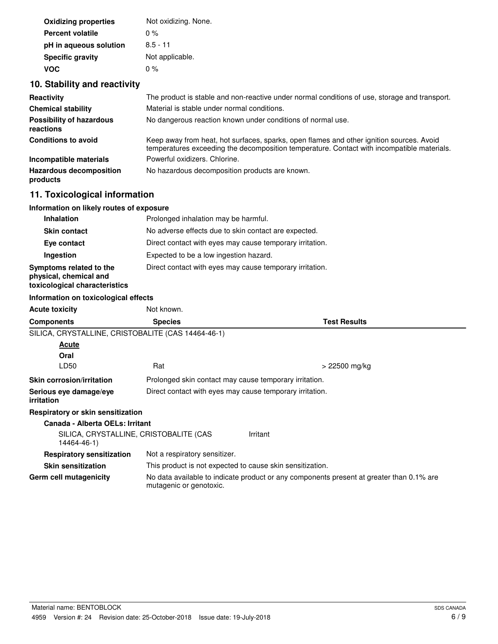| <b>Oxidizing properties</b> | Not oxidizing. None. |
|-----------------------------|----------------------|
| <b>Percent volatile</b>     | $0\%$                |
| pH in aqueous solution      | $8.5 - 11$           |
| <b>Specific gravity</b>     | Not applicable.      |
| <b>VOC</b>                  | $0\%$                |

# **10. Stability and reactivity**

| Reactivity                                   | The product is stable and non-reactive under normal conditions of use, storage and transport.                                                                                          |
|----------------------------------------------|----------------------------------------------------------------------------------------------------------------------------------------------------------------------------------------|
| <b>Chemical stability</b>                    | Material is stable under normal conditions.                                                                                                                                            |
| <b>Possibility of hazardous</b><br>reactions | No dangerous reaction known under conditions of normal use.                                                                                                                            |
| <b>Conditions to avoid</b>                   | Keep away from heat, hot surfaces, sparks, open flames and other ignition sources. Avoid<br>temperatures exceeding the decomposition temperature. Contact with incompatible materials. |
| Incompatible materials                       | Powerful oxidizers, Chlorine.                                                                                                                                                          |
| <b>Hazardous decomposition</b><br>products   | No hazardous decomposition products are known.                                                                                                                                         |

# **11. Toxicological information**

# **Information on likely routes of exposure**

| <b>Inhalation</b>                                                                  | Prolonged inhalation may be harmful.                     |
|------------------------------------------------------------------------------------|----------------------------------------------------------|
| <b>Skin contact</b>                                                                | No adverse effects due to skin contact are expected.     |
| Eye contact                                                                        | Direct contact with eyes may cause temporary irritation. |
| Ingestion                                                                          | Expected to be a low ingestion hazard.                   |
| Symptoms related to the<br>physical, chemical and<br>toxicological characteristics | Direct contact with eyes may cause temporary irritation. |

## **Information on toxicological effects**

| <b>Acute toxicity</b>                                 | Not known.                                                                                                          |                                                           |
|-------------------------------------------------------|---------------------------------------------------------------------------------------------------------------------|-----------------------------------------------------------|
| <b>Components</b>                                     | <b>Species</b>                                                                                                      | <b>Test Results</b>                                       |
| SILICA, CRYSTALLINE, CRISTOBALITE (CAS 14464-46-1)    |                                                                                                                     |                                                           |
| Acute                                                 |                                                                                                                     |                                                           |
| Oral                                                  |                                                                                                                     |                                                           |
| LD50                                                  | Rat                                                                                                                 | > 22500 mg/kg                                             |
| <b>Skin corrosion/irritation</b>                      | Prolonged skin contact may cause temporary irritation.                                                              |                                                           |
| Serious eye damage/eye<br>irritation                  | Direct contact with eyes may cause temporary irritation.                                                            |                                                           |
| Respiratory or skin sensitization                     |                                                                                                                     |                                                           |
| Canada - Alberta OELs: Irritant                       |                                                                                                                     |                                                           |
| SILICA, CRYSTALLINE, CRISTOBALITE (CAS<br>14464-46-1) |                                                                                                                     | Irritant                                                  |
| <b>Respiratory sensitization</b>                      | Not a respiratory sensitizer.                                                                                       |                                                           |
| <b>Skin sensitization</b>                             |                                                                                                                     | This product is not expected to cause skin sensitization. |
| Germ cell mutagenicity                                | No data available to indicate product or any components present at greater than 0.1% are<br>mutagenic or genotoxic. |                                                           |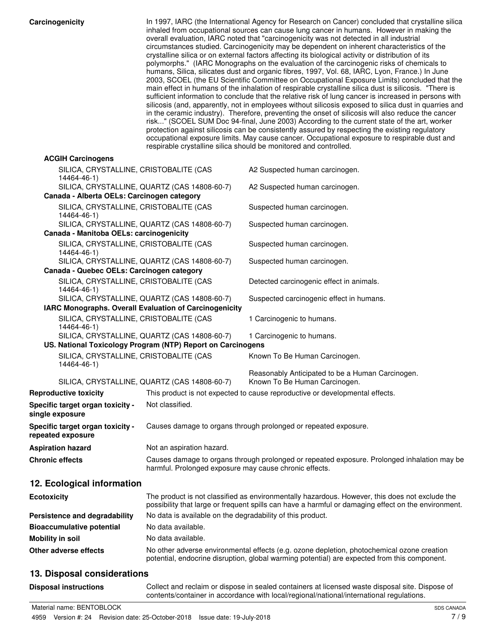| Carcinogenicity |  |  |
|-----------------|--|--|
|                 |  |  |

| Carcinogenicity                                            | In 1997, IARC (the International Agency for Research on Cancer) concluded that crystalline silica<br>inhaled from occupational sources can cause lung cancer in humans. However in making the<br>overall evaluation, IARC noted that "carcinogenicity was not detected in all industrial<br>circumstances studied. Carcinogenicity may be dependent on inherent characteristics of the<br>crystalline silica or on external factors affecting its biological activity or distribution of its<br>polymorphs." (IARC Monographs on the evaluation of the carcinogenic risks of chemicals to<br>humans, Silica, silicates dust and organic fibres, 1997, Vol. 68, IARC, Lyon, France.) In June<br>2003, SCOEL (the EU Scientific Committee on Occupational Exposure Limits) concluded that the<br>main effect in humans of the inhalation of respirable crystalline silica dust is silicosis. "There is<br>sufficient information to conclude that the relative risk of lung cancer is increased in persons with<br>silicosis (and, apparently, not in employees without silicosis exposed to silica dust in quarries and<br>in the ceramic industry). Therefore, preventing the onset of silicosis will also reduce the cancer<br>risk" (SCOEL SUM Doc 94-final, June 2003) According to the current state of the art, worker<br>protection against silicosis can be consistently assured by respecting the existing regulatory<br>occupational exposure limits. May cause cancer. Occupational exposure to respirable dust and<br>respirable crystalline silica should be monitored and controlled. |                                                                              |  |
|------------------------------------------------------------|----------------------------------------------------------------------------------------------------------------------------------------------------------------------------------------------------------------------------------------------------------------------------------------------------------------------------------------------------------------------------------------------------------------------------------------------------------------------------------------------------------------------------------------------------------------------------------------------------------------------------------------------------------------------------------------------------------------------------------------------------------------------------------------------------------------------------------------------------------------------------------------------------------------------------------------------------------------------------------------------------------------------------------------------------------------------------------------------------------------------------------------------------------------------------------------------------------------------------------------------------------------------------------------------------------------------------------------------------------------------------------------------------------------------------------------------------------------------------------------------------------------------------------------------------------------------------------------------------|------------------------------------------------------------------------------|--|
| <b>ACGIH Carcinogens</b>                                   |                                                                                                                                                                                                                                                                                                                                                                                                                                                                                                                                                                                                                                                                                                                                                                                                                                                                                                                                                                                                                                                                                                                                                                                                                                                                                                                                                                                                                                                                                                                                                                                                    |                                                                              |  |
| SILICA, CRYSTALLINE, CRISTOBALITE (CAS<br>14464-46-1)      |                                                                                                                                                                                                                                                                                                                                                                                                                                                                                                                                                                                                                                                                                                                                                                                                                                                                                                                                                                                                                                                                                                                                                                                                                                                                                                                                                                                                                                                                                                                                                                                                    | A2 Suspected human carcinogen.                                               |  |
| Canada - Alberta OELs: Carcinogen category                 | SILICA, CRYSTALLINE, QUARTZ (CAS 14808-60-7)                                                                                                                                                                                                                                                                                                                                                                                                                                                                                                                                                                                                                                                                                                                                                                                                                                                                                                                                                                                                                                                                                                                                                                                                                                                                                                                                                                                                                                                                                                                                                       | A2 Suspected human carcinogen.                                               |  |
| SILICA, CRYSTALLINE, CRISTOBALITE (CAS<br>14464-46-1)      |                                                                                                                                                                                                                                                                                                                                                                                                                                                                                                                                                                                                                                                                                                                                                                                                                                                                                                                                                                                                                                                                                                                                                                                                                                                                                                                                                                                                                                                                                                                                                                                                    | Suspected human carcinogen.                                                  |  |
|                                                            | SILICA, CRYSTALLINE, QUARTZ (CAS 14808-60-7)                                                                                                                                                                                                                                                                                                                                                                                                                                                                                                                                                                                                                                                                                                                                                                                                                                                                                                                                                                                                                                                                                                                                                                                                                                                                                                                                                                                                                                                                                                                                                       | Suspected human carcinogen.                                                  |  |
| Canada - Manitoba OELs: carcinogenicity                    |                                                                                                                                                                                                                                                                                                                                                                                                                                                                                                                                                                                                                                                                                                                                                                                                                                                                                                                                                                                                                                                                                                                                                                                                                                                                                                                                                                                                                                                                                                                                                                                                    |                                                                              |  |
| SILICA, CRYSTALLINE, CRISTOBALITE (CAS<br>14464-46-1)      |                                                                                                                                                                                                                                                                                                                                                                                                                                                                                                                                                                                                                                                                                                                                                                                                                                                                                                                                                                                                                                                                                                                                                                                                                                                                                                                                                                                                                                                                                                                                                                                                    | Suspected human carcinogen.                                                  |  |
| Canada - Quebec OELs: Carcinogen category                  | SILICA, CRYSTALLINE, QUARTZ (CAS 14808-60-7)                                                                                                                                                                                                                                                                                                                                                                                                                                                                                                                                                                                                                                                                                                                                                                                                                                                                                                                                                                                                                                                                                                                                                                                                                                                                                                                                                                                                                                                                                                                                                       | Suspected human carcinogen.                                                  |  |
| SILICA, CRYSTALLINE, CRISTOBALITE (CAS<br>14464-46-1)      |                                                                                                                                                                                                                                                                                                                                                                                                                                                                                                                                                                                                                                                                                                                                                                                                                                                                                                                                                                                                                                                                                                                                                                                                                                                                                                                                                                                                                                                                                                                                                                                                    | Detected carcinogenic effect in animals.                                     |  |
| IARC Monographs. Overall Evaluation of Carcinogenicity     | SILICA, CRYSTALLINE, QUARTZ (CAS 14808-60-7)                                                                                                                                                                                                                                                                                                                                                                                                                                                                                                                                                                                                                                                                                                                                                                                                                                                                                                                                                                                                                                                                                                                                                                                                                                                                                                                                                                                                                                                                                                                                                       | Suspected carcinogenic effect in humans.                                     |  |
| SILICA, CRYSTALLINE, CRISTOBALITE (CAS<br>14464-46-1)      |                                                                                                                                                                                                                                                                                                                                                                                                                                                                                                                                                                                                                                                                                                                                                                                                                                                                                                                                                                                                                                                                                                                                                                                                                                                                                                                                                                                                                                                                                                                                                                                                    | 1 Carcinogenic to humans.                                                    |  |
|                                                            | SILICA, CRYSTALLINE, QUARTZ (CAS 14808-60-7)<br>US. National Toxicology Program (NTP) Report on Carcinogens                                                                                                                                                                                                                                                                                                                                                                                                                                                                                                                                                                                                                                                                                                                                                                                                                                                                                                                                                                                                                                                                                                                                                                                                                                                                                                                                                                                                                                                                                        | 1 Carcinogenic to humans.                                                    |  |
| SILICA, CRYSTALLINE, CRISTOBALITE (CAS                     |                                                                                                                                                                                                                                                                                                                                                                                                                                                                                                                                                                                                                                                                                                                                                                                                                                                                                                                                                                                                                                                                                                                                                                                                                                                                                                                                                                                                                                                                                                                                                                                                    | Known To Be Human Carcinogen.                                                |  |
| 14464-46-1)                                                |                                                                                                                                                                                                                                                                                                                                                                                                                                                                                                                                                                                                                                                                                                                                                                                                                                                                                                                                                                                                                                                                                                                                                                                                                                                                                                                                                                                                                                                                                                                                                                                                    | Reasonably Anticipated to be a Human Carcinogen.                             |  |
|                                                            | SILICA, CRYSTALLINE, QUARTZ (CAS 14808-60-7)                                                                                                                                                                                                                                                                                                                                                                                                                                                                                                                                                                                                                                                                                                                                                                                                                                                                                                                                                                                                                                                                                                                                                                                                                                                                                                                                                                                                                                                                                                                                                       | Known To Be Human Carcinogen.                                                |  |
| <b>Reproductive toxicity</b>                               |                                                                                                                                                                                                                                                                                                                                                                                                                                                                                                                                                                                                                                                                                                                                                                                                                                                                                                                                                                                                                                                                                                                                                                                                                                                                                                                                                                                                                                                                                                                                                                                                    | This product is not expected to cause reproductive or developmental effects. |  |
| <b>Specific target organ toxicity -</b><br>single exposure | Not classified.                                                                                                                                                                                                                                                                                                                                                                                                                                                                                                                                                                                                                                                                                                                                                                                                                                                                                                                                                                                                                                                                                                                                                                                                                                                                                                                                                                                                                                                                                                                                                                                    |                                                                              |  |
| Specific target organ toxicity -<br>repeated exposure      |                                                                                                                                                                                                                                                                                                                                                                                                                                                                                                                                                                                                                                                                                                                                                                                                                                                                                                                                                                                                                                                                                                                                                                                                                                                                                                                                                                                                                                                                                                                                                                                                    | Causes damage to organs through prolonged or repeated exposure.              |  |
| Aspiration hazard                                          | Not an aspiration hazard.                                                                                                                                                                                                                                                                                                                                                                                                                                                                                                                                                                                                                                                                                                                                                                                                                                                                                                                                                                                                                                                                                                                                                                                                                                                                                                                                                                                                                                                                                                                                                                          |                                                                              |  |
| <b>Chronic effects</b>                                     | Causes damage to organs through prolonged or repeated exposure. Prolonged inhalation may be<br>harmful. Prolonged exposure may cause chronic effects.                                                                                                                                                                                                                                                                                                                                                                                                                                                                                                                                                                                                                                                                                                                                                                                                                                                                                                                                                                                                                                                                                                                                                                                                                                                                                                                                                                                                                                              |                                                                              |  |
| 12. Ecological information                                 |                                                                                                                                                                                                                                                                                                                                                                                                                                                                                                                                                                                                                                                                                                                                                                                                                                                                                                                                                                                                                                                                                                                                                                                                                                                                                                                                                                                                                                                                                                                                                                                                    |                                                                              |  |
| <b>Ecotoxicity</b>                                         | The product is not classified as environmentally hazardous. However, this does not exclude the<br>possibility that large or frequent spills can have a harmful or damaging effect on the environment.                                                                                                                                                                                                                                                                                                                                                                                                                                                                                                                                                                                                                                                                                                                                                                                                                                                                                                                                                                                                                                                                                                                                                                                                                                                                                                                                                                                              |                                                                              |  |
| Persistence and degradability                              | No data is available on the degradability of this product.                                                                                                                                                                                                                                                                                                                                                                                                                                                                                                                                                                                                                                                                                                                                                                                                                                                                                                                                                                                                                                                                                                                                                                                                                                                                                                                                                                                                                                                                                                                                         |                                                                              |  |
| <b>Bioaccumulative potential</b>                           | No data available.                                                                                                                                                                                                                                                                                                                                                                                                                                                                                                                                                                                                                                                                                                                                                                                                                                                                                                                                                                                                                                                                                                                                                                                                                                                                                                                                                                                                                                                                                                                                                                                 |                                                                              |  |
| <b>Mobility in soil</b>                                    | No data available.                                                                                                                                                                                                                                                                                                                                                                                                                                                                                                                                                                                                                                                                                                                                                                                                                                                                                                                                                                                                                                                                                                                                                                                                                                                                                                                                                                                                                                                                                                                                                                                 |                                                                              |  |
| Other adverse effects                                      | No other adverse environmental effects (e.g. ozone depletion, photochemical ozone creation<br>potential, endocrine disruption, global warming potential) are expected from this component.                                                                                                                                                                                                                                                                                                                                                                                                                                                                                                                                                                                                                                                                                                                                                                                                                                                                                                                                                                                                                                                                                                                                                                                                                                                                                                                                                                                                         |                                                                              |  |
| 13. Disposal considerations                                |                                                                                                                                                                                                                                                                                                                                                                                                                                                                                                                                                                                                                                                                                                                                                                                                                                                                                                                                                                                                                                                                                                                                                                                                                                                                                                                                                                                                                                                                                                                                                                                                    |                                                                              |  |

Collect and reclaim or dispose in sealed containers at licensed waste disposal site. Dispose of contents/container in accordance with local/regional/national/international regulations.

**Disposal instructions**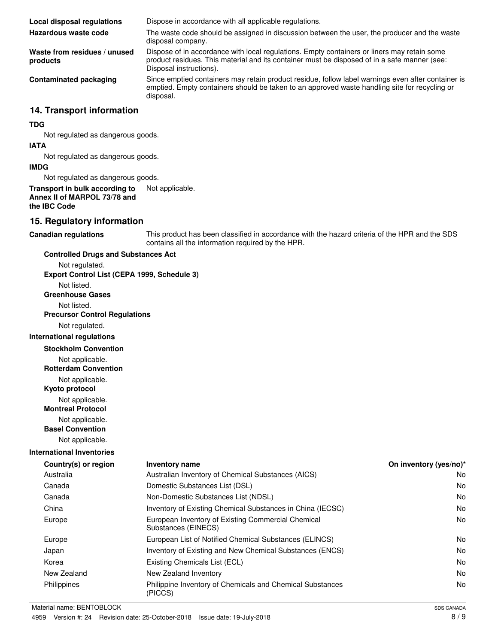**Local disposal regulations** Dispose in accordance with all applicable regulations. The waste code should be assigned in discussion between the user, the producer and the waste disposal company. **Hazardous waste code** Dispose of in accordance with local regulations. Empty containers or liners may retain some product residues. This material and its container must be disposed of in a safe manner (see: Disposal instructions). **Waste from residues / unused products** Since emptied containers may retain product residue, follow label warnings even after container is emptied. Empty containers should be taken to an approved waste handling site for recycling or disposal. **Contaminated packaging**

# **14. Transport information**

## **TDG**

Not regulated as dangerous goods.

#### **IATA**

Not regulated as dangerous goods.

### **IMDG**

Not regulated as dangerous goods.

## **Transport in bulk according to** Not applicable. **Annex II of MARPOL 73/78 and the IBC Code**

# **15. Regulatory information**

**Canadian regulations**

This product has been classified in accordance with the hazard criteria of the HPR and the SDS contains all the information required by the HPR.

### **Controlled Drugs and Substances Act**

Not regulated.

**Export Control List (CEPA 1999, Schedule 3)**

Not listed.

**Greenhouse Gases**

Not listed.

**Precursor Control Regulations**

Not regulated.

# **International regulations**

**Stockholm Convention**

Not applicable.

**Rotterdam Convention**

Not applicable.

**Kyoto protocol**

Not applicable.

**Montreal Protocol**

Not applicable.

**Basel Convention**

Not applicable.

# **International Inventories**

| Country(s) or region | <b>Inventory name</b>                                                     | On inventory (yes/no)* |
|----------------------|---------------------------------------------------------------------------|------------------------|
| Australia            | Australian Inventory of Chemical Substances (AICS)                        | No.                    |
| Canada               | Domestic Substances List (DSL)                                            | No.                    |
| Canada               | Non-Domestic Substances List (NDSL)                                       | N <sub>o</sub>         |
| China                | Inventory of Existing Chemical Substances in China (IECSC)                | No.                    |
| Europe               | European Inventory of Existing Commercial Chemical<br>Substances (EINECS) | No.                    |
| Europe               | European List of Notified Chemical Substances (ELINCS)                    | No.                    |
| Japan                | Inventory of Existing and New Chemical Substances (ENCS)                  | No.                    |
| Korea                | Existing Chemicals List (ECL)                                             | N <sub>o</sub>         |
| New Zealand          | New Zealand Inventory                                                     | N <sub>o</sub>         |
| Philippines          | Philippine Inventory of Chemicals and Chemical Substances<br>(PICCS)      | No.                    |